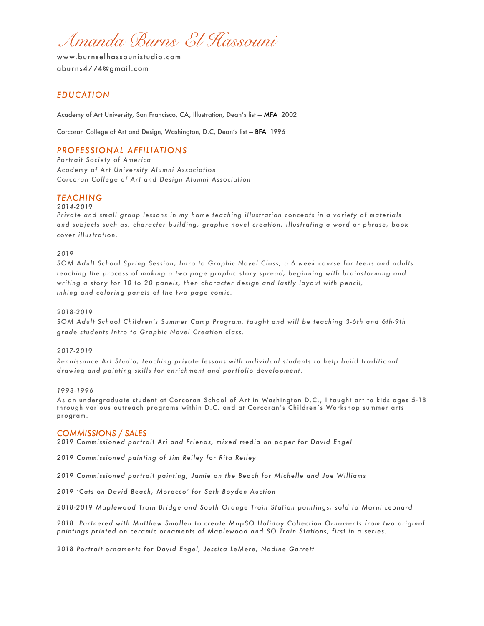*Amanda Burns-El Hassouni* 

## *EDUCATION*

Academy of Art University, San Francisco, CA, Illustration, Dean's list — MFA 2002

Corcoran College of Art and Design, Washington, D.C, Dean's list — BFA 1996

# *PROFESSIONAL AFFILIATIONS*

*Portrait Society of America Academy of Art University Alumni Association Corcoran College of Art and Design Alumni Association* 

### *TEACHING*

*2014-2019* 

*Private and small group lessons in my home teaching illustration concepts in a variety of materials and subjects such as: character building, graphic novel creation, illustrating a word or phrase, book cover illustration.* 

#### *2019*

*SOM Adult School Spring Session, Intro to Graphic Novel Class, a 6 week course for teens and adults teaching the process of making a two page graphic story spread, beginning with brainstorming and writing a story for 10 to 20 panels, then character design and lastly layout with pencil, inking and coloring panels of the two page comic.* 

#### *2018-2019*

*SOM Adult School Children's Summer Camp Program, taught and will be teaching 3-6th and 6th-9th grade students Intro to Graphic Novel Creation class.* 

#### *2017-2019*

*Renaissance Art Studio, teaching private lessons with individual students to help build traditional drawing and painting skills for enrichment and portfolio development.* 

#### *1993-1996*

As an undergraduate student at Corcoran School of Art in Washington D.C., I taught art to kids ages 5-18 through various outreach programs within D.C. and at Corcoran's Children's Workshop summer arts program.

### *COMMISSIONS / SALES*

*2019 Commissioned portrait Ari and Friends, mixed media on paper for David Engel* 

*2019 Commissioned painting of Jim Reiley for Rita Reiley* 

*2019 Commissioned portrait painting, Jamie on the Beach for Michelle and Joe Williams* 

*2019 'Cats on David Beach, Morocco' for Seth Boyden Auction* 

*2018-2019 Maplewood Train Bridge and South Orange Train Station paintings, sold to Marni Leonard* 

*2018 Partnered with Matthew Smollen to create MapSO Holiday Collection Ornaments from two original paintings printed on ceramic ornaments of Maplewood and SO Train Stations, first in a series.* 

*2018 Portrait ornaments for David Engel, Jessica LeMere, Nadine Garrett*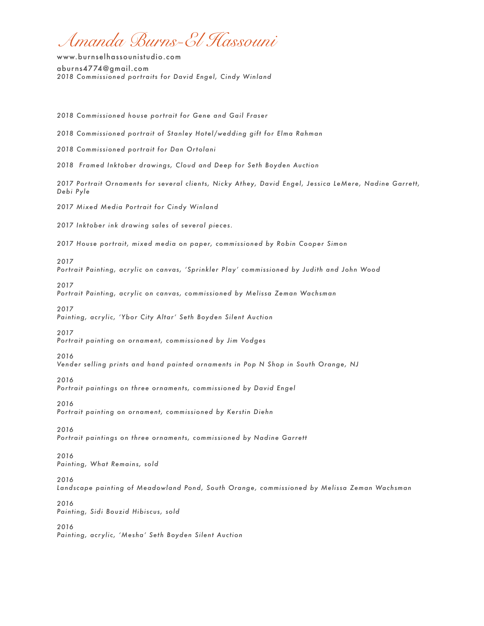*Amanda Burns-El Hassouni* 

[www.burnselhassounistudio.com](mailto:info@burnselhassounistudio.com) [aburns4774@gmail.com](mailto:aburns4774@gmail.com) *2018 Commissioned portraits for David Engel, Cindy Winland* 

*2018 Commissioned house portrait for Gene and Gail Fraser 2018 Commissioned portrait of Stanley Hotel/wedding gift for Elma Rahman 2018 Commissioned portrait for Dan Ortolani 2018 Framed Inktober drawings, Cloud and Deep for Seth Boyden Auction 2017 Portrait Ornaments for several clients, Nicky Athey, David Engel, Jessica LeMere, Nadine Garrett, Debi Pyle 2017 Mixed Media Portrait for Cindy Winland 2017 Inktober ink drawing sales of several pieces. 2017 House portrait, mixed media on paper, commissioned by Robin Cooper Simon 2017 Portrait Painting, acrylic on canvas, 'Sprinkler Play' commissioned by Judith and John Wood 2017 Portrait Painting, acrylic on canvas, commissioned by Melissa Zeman Wachsman 2017 Painting, acrylic, 'Ybor City Altar' Seth Boyden Silent Auction 2017 Portrait painting on ornament, commissioned by Jim Vodges 2016 Vender selling prints and hand painted ornaments in Pop N Shop in South Orange, NJ 2016*  Portrait paintings on three ornaments, commissioned by David Engel *2016 Portrait painting on ornament, commissioned by Kerstin Diehn 2016 Portrait paintings on three ornaments, commissioned by Nadine Garrett 2016 Painting, What Remains, sold 2016 Landscape painting of Meadowland Pond, South Orange, commissioned by Melissa Zeman Wachsman 2016 Painting, Sidi Bouzid Hibiscus, sold 2016 Painting, acrylic, 'Mesha' Seth Boyden Silent Auction*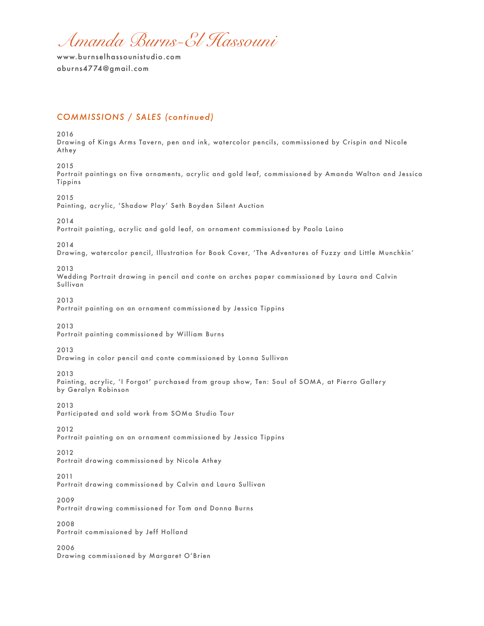*Amanda Burns-El Hassouni* 

# *COMMISSIONS / SALES (continued)*

2016

Drawing of Kings Arms Tavern, pen and ink, watercolor pencils, commissioned by Crispin and Nicole Athey

2015 Portrait paintings on five ornaments, acrylic and gold leaf, commissioned by Amanda Walton and Jessica Tippins

2015 Painting, acrylic, 'Shadow Play' Seth Boyden Silent Auction

2014

Portrait painting, acrylic and gold leaf, on ornament commissioned by Paola Laino

2014

Drawing, watercolor pencil, Illustration for Book Cover, 'The Adventures of Fuzzy and Little Munchkin'

2013

Wedding Portrait drawing in pencil and conte on arches paper commissioned by Laura and Calvin Sullivan

2013

Portrait painting on an ornament commissioned by Jessica Tippins

2013

Portrait painting commissioned by William Burns

2013

Drawing in color pencil and conte commissioned by Lonna Sullivan

2013

Painting, acrylic, 'I Forgot' purchased from group show, Ten: Soul of SOMA, at Pierro Gallery by Geralyn Robinson

2013

Participated and sold work from SOMa Studio Tour

2012

Portrait painting on an ornament commissioned by Jessica Tippins

2012

Portrait drawing commissioned by Nicole Athey

2011

Portrait drawing commissioned by Calvin and Laura Sullivan

2009

Portrait drawing commissioned for Tom and Donna Burns

2008 Portrait commissioned by Jeff Holland

2006

Drawing commissioned by Margaret O'Brien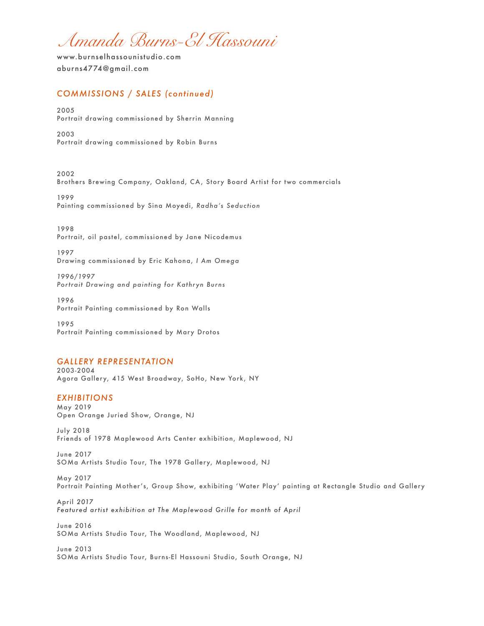*Amanda Burns-El Hassouni* 

# *COMMISSIONS / SALES (continued)*

2005 Portrait drawing commissioned by Sherrin Manning

2003 Portrait drawing commissioned by Robin Burns

2002 Brothers Brewing Company, Oakland, CA, Story Board Artist for two commercials

1999 Painting commissioned by Sina Moyedi, *Radha's Seduction*

1998 Portrait, oil pastel, commissioned by Jane Nicodemus

1997 Drawing commissioned by Eric Kahona, *I Am Omega* 

*1996/1997 Portrait Drawing and painting for Kathryn Burns*

1996 Portrait Painting commissioned by Ron Walls

1995 Portrait Painting commissioned by Mary Drotos

## *GALLERY REPRESENTATION*

2003-2004 Agora Gallery, 415 West Broadway, SoHo, New York, NY

### *EXHIBITIONS*

May 2019 Open Orange Juried Show, Orange, NJ

July 2018 Friends of 1978 Maplewood Arts Center exhibition, Maplewood, NJ

June 2017 SOMa Artists Studio Tour, The 1978 Gallery, Maplewood, NJ

May 2017 Portrait Painting Mother's, Group Show, exhibiting 'Water Play' painting at Rectangle Studio and Gallery

April *2017 Featured artist exhibition at The Maplewood Grille for month of April* 

June 2016 SOMa Artists Studio Tour, The Woodland, Maplewood, NJ

June 2013 SOMa Artists Studio Tour, Burns-El Hassouni Studio, South Orange, NJ